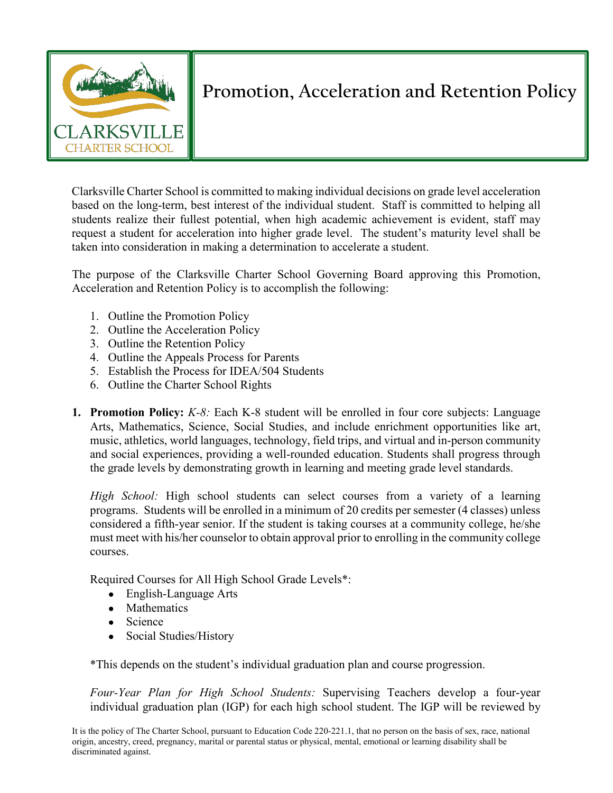

# **Promotion, Acceleration and Retention Policy**

Clarksville Charter School is committed to making individual decisions on grade level acceleration based on the long-term, best interest of the individual student. Staff is committed to helping all students realize their fullest potential, when high academic achievement is evident, staff may request a student for acceleration into higher grade level. The student's maturity level shall be taken into consideration in making a determination to accelerate a student.

The purpose of the Clarksville Charter School Governing Board approving this Promotion, Acceleration and Retention Policy is to accomplish the following:

- 1. Outline the Promotion Policy
- 2. Outline the Acceleration Policy
- 3. Outline the Retention Policy
- 4. Outline the Appeals Process for Parents
- 5. Establish the Process for IDEA/504 Students
- 6. Outline the Charter School Rights
- **1. Promotion Policy:** *K-8:* Each K-8 student will be enrolled in four core subjects: Language Arts, Mathematics, Science, Social Studies, and include enrichment opportunities like art, music, athletics, world languages, technology, field trips, and virtual and in-person community and social experiences, providing a well-rounded education. Students shall progress through the grade levels by demonstrating growth in learning and meeting grade level standards.

*High School:* High school students can select courses from a variety of a learning programs. Students will be enrolled in a minimum of 20 credits per semester (4 classes) unless considered a fifth-year senior. If the student is taking courses at a community college, he/she must meet with his/her counselor to obtain approval prior to enrolling in the community college courses.

Required Courses for All High School Grade Levels\*:

- English-Language Arts
- Mathematics
- Science
- Social Studies/History

\*This depends on the student's individual graduation plan and course progression.

*Four-Year Plan for High School Students:* Supervising Teachers develop a four-year individual graduation plan (IGP) for each high school student. The IGP will be reviewed by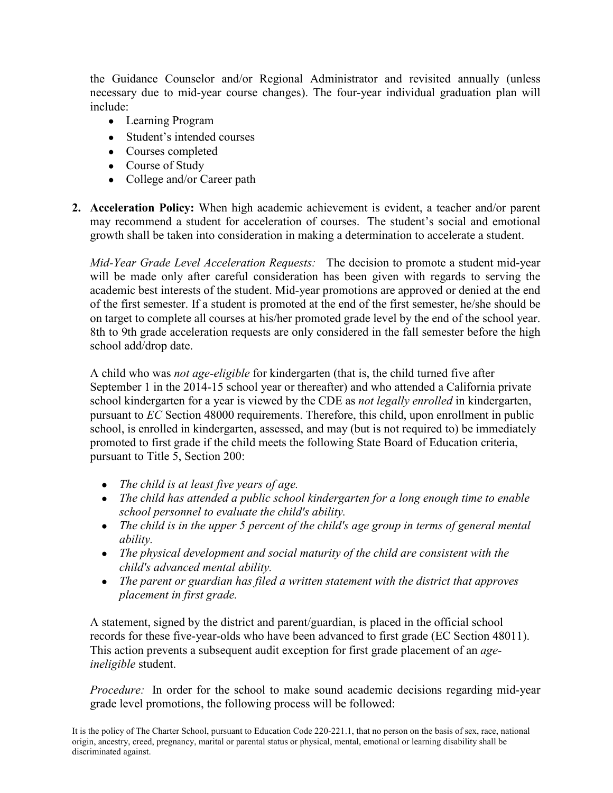the Guidance Counselor and/or Regional Administrator and revisited annually (unless necessary due to mid-year course changes). The four-year individual graduation plan will include:

- Learning Program
- Student's intended courses
- Courses completed
- Course of Study
- College and/or Career path
- **2. Acceleration Policy:** When high academic achievement is evident, a teacher and/or parent may recommend a student for acceleration of courses. The student's social and emotional growth shall be taken into consideration in making a determination to accelerate a student.

*Mid-Year Grade Level Acceleration Requests:* The decision to promote a student mid-year will be made only after careful consideration has been given with regards to serving the academic best interests of the student. Mid-year promotions are approved or denied at the end of the first semester. If a student is promoted at the end of the first semester, he/she should be on target to complete all courses at his/her promoted grade level by the end of the school year. 8th to 9th grade acceleration requests are only considered in the fall semester before the high school add/drop date.

A child who was *not age-eligible* for kindergarten (that is, the child turned five after September 1 in the 2014-15 school year or thereafter) and who attended a California private school kindergarten for a year is viewed by the CDE as *not legally enrolled* in kindergarten, pursuant to *EC* Section 48000 requirements. Therefore, this child, upon enrollment in public school, is enrolled in kindergarten, assessed, and may (but is not required to) be immediately promoted to first grade if the child meets the following State Board of Education criteria, pursuant to Title 5, Section 200:

- *The child is at least five years of age.*
- *The child has attended a public school kindergarten for a long enough time to enable school personnel to evaluate the child's ability.*
- *The child is in the upper 5 percent of the child's age group in terms of general mental ability.*
- *The physical development and social maturity of the child are consistent with the child's advanced mental ability.*
- *The parent or guardian has filed a written statement with the district that approves placement in first grade.*

A statement, signed by the district and parent/guardian, is placed in the official school records for these five-year-olds who have been advanced to first grade (EC Section 48011). This action prevents a subsequent audit exception for first grade placement of an *ageineligible* student.

*Procedure:* In order for the school to make sound academic decisions regarding mid-year grade level promotions, the following process will be followed: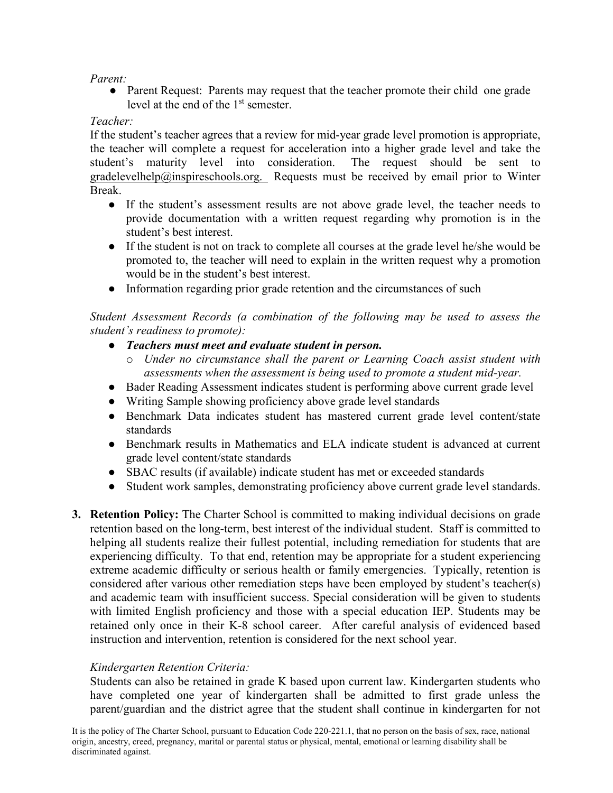### *Parent:*

• Parent Request: Parents may request that the teacher promote their child one grade level at the end of the 1<sup>st</sup> semester.

# *Teacher:*

If the student's teacher agrees that a review for mid-year grade level promotion is appropriate, the teacher will complete a request for acceleration into a higher grade level and take the student's maturity level into consideration. The request should be sent to gradelevelhelp@inspireschools.org. Requests must be received by email prior to Winter Break.

- If the student's assessment results are not above grade level, the teacher needs to provide documentation with a written request regarding why promotion is in the student's best interest.
- If the student is not on track to complete all courses at the grade level he/she would be promoted to, the teacher will need to explain in the written request why a promotion would be in the student's best interest.
- Information regarding prior grade retention and the circumstances of such

*Student Assessment Records (a combination of the following may be used to assess the student's readiness to promote):* 

- *Teachers must meet and evaluate student in person.*
	- o *Under no circumstance shall the parent or Learning Coach assist student with assessments when the assessment is being used to promote a student mid-year.*
- Bader Reading Assessment indicates student is performing above current grade level
- Writing Sample showing proficiency above grade level standards
- Benchmark Data indicates student has mastered current grade level content/state standards
- Benchmark results in Mathematics and ELA indicate student is advanced at current grade level content/state standards
- SBAC results (if available) indicate student has met or exceeded standards
- Student work samples, demonstrating proficiency above current grade level standards.
- **3. Retention Policy:** The Charter School is committed to making individual decisions on grade retention based on the long-term, best interest of the individual student. Staff is committed to helping all students realize their fullest potential, including remediation for students that are experiencing difficulty. To that end, retention may be appropriate for a student experiencing extreme academic difficulty or serious health or family emergencies. Typically, retention is considered after various other remediation steps have been employed by student's teacher(s) and academic team with insufficient success. Special consideration will be given to students with limited English proficiency and those with a special education IEP. Students may be retained only once in their K-8 school career. After careful analysis of evidenced based instruction and intervention, retention is considered for the next school year.

# *Kindergarten Retention Criteria:*

Students can also be retained in grade K based upon current law. Kindergarten students who have completed one year of kindergarten shall be admitted to first grade unless the parent/guardian and the district agree that the student shall continue in kindergarten for not

It is the policy of The Charter School, pursuant to Education Code 220-221.1, that no person on the basis of sex, race, national origin, ancestry, creed, pregnancy, marital or parental status or physical, mental, emotional or learning disability shall be discriminated against.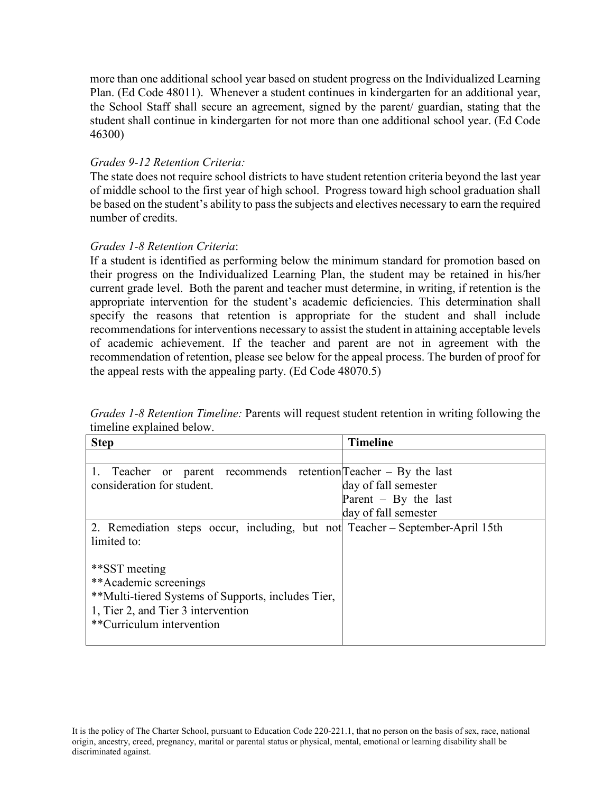more than one additional school year based on student progress on the Individualized Learning Plan. (Ed Code 48011). Whenever a student continues in kindergarten for an additional year, the School Staff shall secure an agreement, signed by the parent/ guardian, stating that the student shall continue in kindergarten for not more than one additional school year. (Ed Code 46300)

#### *Grades 9-12 Retention Criteria:*

The state does not require school districts to have student retention criteria beyond the last year of middle school to the first year of high school. Progress toward high school graduation shall be based on the student's ability to pass the subjects and electives necessary to earn the required number of credits.

### *Grades 1-8 Retention Criteria*:

If a student is identified as performing below the minimum standard for promotion based on their progress on the Individualized Learning Plan, the student may be retained in his/her current grade level. Both the parent and teacher must determine, in writing, if retention is the appropriate intervention for the student's academic deficiencies. This determination shall specify the reasons that retention is appropriate for the student and shall include recommendations for interventions necessary to assist the student in attaining acceptable levels of academic achievement. If the teacher and parent are not in agreement with the recommendation of retention, please see below for the appeal process. The burden of proof for the appeal rests with the appealing party. (Ed Code 48070.5)

| <b>Step</b>                                                                   | <b>Timeline</b>        |
|-------------------------------------------------------------------------------|------------------------|
|                                                                               |                        |
| 1. Teacher or parent recommends retention $Teacher - By the last$             |                        |
| consideration for student.                                                    | day of fall semester   |
|                                                                               | Parent $-$ By the last |
|                                                                               | day of fall semester   |
| 2. Remediation steps occur, including, but not Teacher – September-April 15th |                        |
| limited to:                                                                   |                        |
|                                                                               |                        |
| **SST meeting                                                                 |                        |
| **Academic screenings                                                         |                        |
| **Multi-tiered Systems of Supports, includes Tier,                            |                        |
| 1, Tier 2, and Tier 3 intervention                                            |                        |
| **Curriculum intervention                                                     |                        |
|                                                                               |                        |

*Grades 1-8 Retention Timeline:* Parents will request student retention in writing following the timeline explained below.